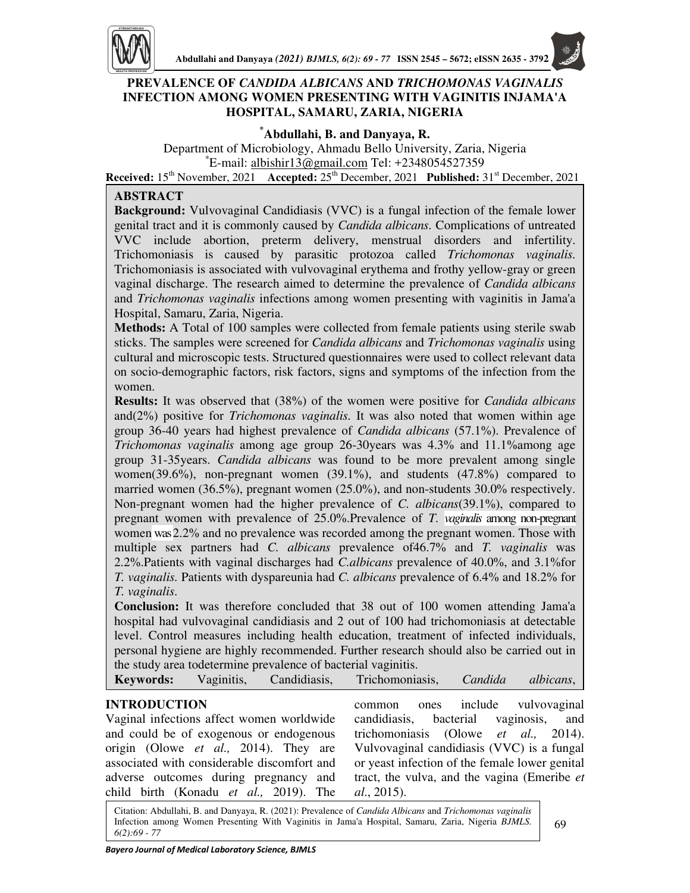

## **PREVALENCE OF** *CANDIDA ALBICANS* **AND** *TRICHOMONAS VAGINALIS*  **INFECTION AMONG WOMEN PRESENTING WITH VAGINITIS INJAMA'A HOSPITAL, SAMARU, ZARIA, NIGERIA**

## **\*Abdullahi, B. and Danyaya, R.**

Department of Microbiology, Ahmadu Bello University, Zaria, Nigeria \*E-mail: albishir13@gmail.com Tel: +2348054527359 **Received:** 15th November, 2021 **Accepted:** 25th December, 2021 **Published:** 31st December, 2021

## **ABSTRACT**

**Background:** Vulvovaginal Candidiasis (VVC) is a fungal infection of the female lower genital tract and it is commonly caused by *Candida albicans.* Complications of untreated VVC include abortion, preterm delivery, menstrual disorders and infertility. Trichomoniasis is caused by parasitic protozoa called *Trichomonas vaginalis.*  Trichomoniasis is associated with vulvovaginal erythema and frothy yellow-gray or green vaginal discharge. The research aimed to determine the prevalence of *Candida albicans*  and *Trichomonas vaginalis* infections among women presenting with vaginitis in Jama'a Hospital, Samaru, Zaria, Nigeria.

**Methods:** A Total of 100 samples were collected from female patients using sterile swab sticks. The samples were screened for *Candida albicans* and *Trichomonas vaginalis* using cultural and microscopic tests. Structured questionnaires were used to collect relevant data on socio-demographic factors, risk factors, signs and symptoms of the infection from the women.

 multiple sex partners had *C. albicans* prevalence of46.7% and *T. vaginalis* was **Results:** It was observed that (38%) of the women were positive for *Candida albicans*  and(2%) positive for *Trichomonas vaginalis.* It was also noted that women within age group 36-40 years had highest prevalence of *Candida albicans* (57.1%). Prevalence of *Trichomonas vaginalis* among age group 26-30years was 4.3% and 11.1%among age group 31-35years. *Candida albicans* was found to be more prevalent among single women(39.6%), non-pregnant women (39.1%), and students (47.8%) compared to married women (36.5%), pregnant women (25.0%), and non-students 30.0% respectively. Non-pregnant women had the higher prevalence of *C. albicans*(39.1%), compared to pregnant women with prevalence of 25.0%.Prevalence of *T*. *vaginalis* among non-pregnant women was 2.2% and no prevalence was recorded among the pregnant women. Those with 2.2%.Patients with vaginal discharges had *C.albicans* prevalence of 40.0%, and 3.1%for *T. vaginalis.* Patients with dyspareunia had *C. albicans* prevalence of 6.4% and 18.2% for *T. vaginalis*.

**Conclusion:** It was therefore concluded that 38 out of 100 women attending Jama'a hospital had vulvovaginal candidiasis and 2 out of 100 had trichomoniasis at detectable level. Control measures including health education, treatment of infected individuals, personal hygiene are highly recommended. Further research should also be carried out in the study area todetermine prevalence of bacterial vaginitis.

| <b>Keywords:</b> | Vaginitis, | Candidiasis, | Trichomoniasis, | Candida | <i>albicans</i> , |
|------------------|------------|--------------|-----------------|---------|-------------------|
|------------------|------------|--------------|-----------------|---------|-------------------|

# **INTRODUCTION**

Vaginal infections affect women worldwide and could be of exogenous or endogenous origin (Olowe *et al.,* 2014). They are associated with considerable discomfort and adverse outcomes during pregnancy and

common ones include vulvovaginal candidiasis, bacterial vaginosis, and trichomoniasis (Olowe *et al.,* 2014). Vulvovaginal candidiasis (VVC) is a fungal or yeast infection of the female lower genital tract, the vulva, and the vagina (Emeribe *et al*., 2015).

Citation: Abdullahi, B. and Danyaya, R. (2021): Prevalence of *Candida Albicans* and *Trichomonas vaginalis*  Infection among Women Presenting With Vaginitis in Jama'a Hospital, Samaru, Zaria, Nigeria *BJMLS. 6(2):69 - 77*

child birth (Konadu *et al.,* 2019). The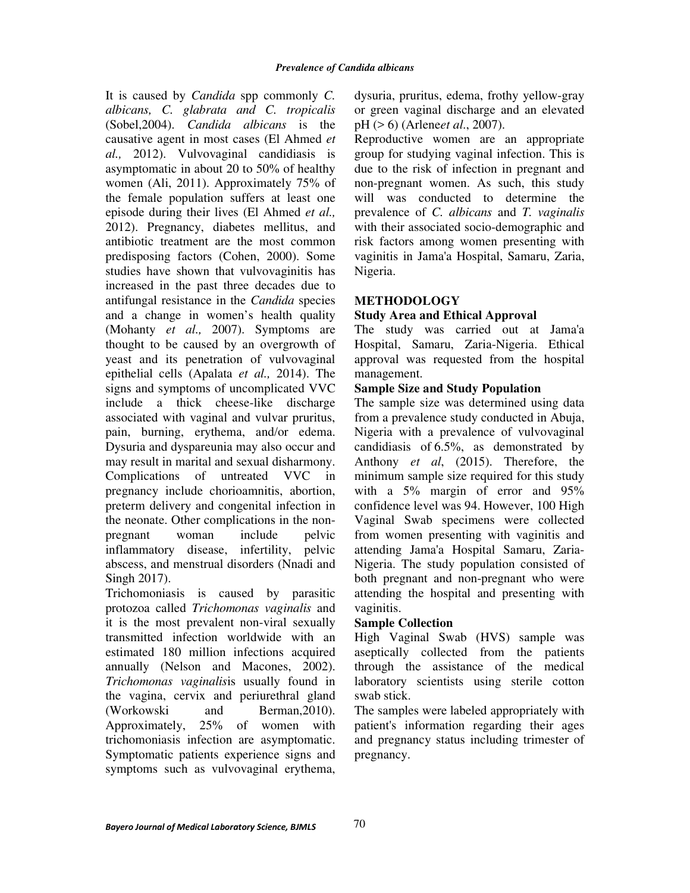It is caused by *Candida* spp commonly *C. albicans, C. glabrata and C. tropicalis*  (Sobel,2004). *Candida albicans* is the causative agent in most cases (El Ahmed *et al.,* 2012). Vulvovaginal candidiasis is asymptomatic in about 20 to 50% of healthy women (Ali, 2011). Approximately 75% of the female population suffers at least one episode during their lives (El Ahmed *et al.,*  2012). Pregnancy, diabetes mellitus, and antibiotic treatment are the most common predisposing factors (Cohen, 2000). Some studies have shown that vulvovaginitis has increased in the past three decades due to antifungal resistance in the *Candida* species and a change in women's health quality (Mohanty *et al.,* 2007). Symptoms are thought to be caused by an overgrowth of yeast and its penetration of vulvovaginal epithelial cells (Apalata *et al.,* 2014). The signs and symptoms of uncomplicated VVC include a thick cheese-like discharge associated with vaginal and vulvar pruritus, pain, burning, erythema, and/or edema. Dysuria and dyspareunia may also occur and may result in marital and sexual disharmony. Complications of untreated VVC in pregnancy include chorioamnitis, abortion, preterm delivery and congenital infection in the neonate. Other complications in the nonpregnant woman include pelvic inflammatory disease, infertility, pelvic abscess, and menstrual disorders (Nnadi and Singh 2017).

Trichomoniasis is caused by parasitic protozoa called *Trichomonas vaginalis* and it is the most prevalent non-viral sexually transmitted infection worldwide with an estimated 180 million infections acquired annually (Nelson and Macones, 2002). *Trichomonas vaginalis*is usually found in the vagina, cervix and periurethral gland (Workowski and Berman,2010). Approximately, 25% of women with trichomoniasis infection are asymptomatic. Symptomatic patients experience signs and symptoms such as vulvovaginal erythema,

dysuria, pruritus, edema, frothy yellow-gray or green vaginal discharge and an elevated pH (> 6) (Arlene*et al*., 2007).

Reproductive women are an appropriate group for studying vaginal infection. This is due to the risk of infection in pregnant and non-pregnant women. As such, this study will was conducted to determine the prevalence of *C. albicans* and *T. vaginalis*  with their associated socio-demographic and risk factors among women presenting with vaginitis in Jama'a Hospital, Samaru, Zaria, Nigeria.

### **METHODOLOGY**

#### **Study Area and Ethical Approval**

The study was carried out at Jama'a Hospital, Samaru, Zaria-Nigeria. Ethical approval was requested from the hospital management.

#### **Sample Size and Study Population**

The sample size was determined using data from a prevalence study conducted in Abuja, Nigeria with a prevalence of vulvovaginal candidiasis of 6.5%, as demonstrated by Anthony *et al*, (2015). Therefore, the minimum sample size required for this study with a 5% margin of error and 95% confidence level was 94. However, 100 High Vaginal Swab specimens were collected from women presenting with vaginitis and attending Jama'a Hospital Samaru, Zaria-Nigeria. The study population consisted of both pregnant and non-pregnant who were attending the hospital and presenting with vaginitis.

#### **Sample Collection**

High Vaginal Swab (HVS) sample was aseptically collected from the patients through the assistance of the medical laboratory scientists using sterile cotton swab stick.

The samples were labeled appropriately with patient's information regarding their ages and pregnancy status including trimester of pregnancy.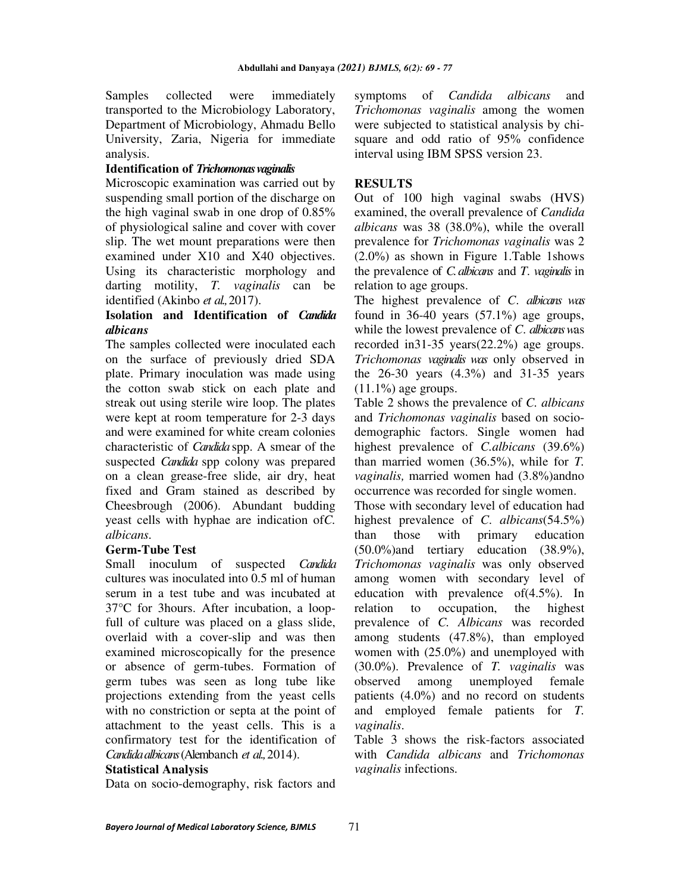Samples collected were immediately transported to the Microbiology Laboratory, Department of Microbiology, Ahmadu Bello University, Zaria, Nigeria for immediate analysis.

### **Identification of** *Trichomonas vaginalis*

Microscopic examination was carried out by suspending small portion of the discharge on the high vaginal swab in one drop of 0.85% of physiological saline and cover with cover slip. The wet mount preparations were then examined under X10 and X40 objectives. Using its characteristic morphology and darting motility, *T. vaginalis* can be identified (Akinbo *et al.,* 2017).

#### **Isolation and Identification of** *Candida albicans*

The samples collected were inoculated each on the surface of previously dried SDA plate. Primary inoculation was made using the cotton swab stick on each plate and streak out using sterile wire loop. The plates were kept at room temperature for 2-3 days and were examined for white cream colonies characteristic of *Candida* spp. A smear of the suspected *Candida* spp colony was prepared on a clean grease-free slide, air dry, heat fixed and Gram stained as described by Cheesbrough (2006). Abundant budding yeast cells with hyphae are indication of*C. albicans.*

#### **Germ-Tube Test**

Small inoculum of suspected *Candida* cultures was inoculated into 0.5 ml of human serum in a test tube and was incubated at 37°C for 3hours. After incubation, a loopfull of culture was placed on a glass slide, overlaid with a cover-slip and was then examined microscopically for the presence or absence of germ-tubes. Formation of germ tubes was seen as long tube like projections extending from the yeast cells with no constriction or septa at the point of attachment to the yeast cells. This is a confirmatory test for the identification of *Candida albicans* (Alembanch *et al.,* 2014).

#### **Statistical Analysis**

Data on socio-demography, risk factors and

symptoms of *Candida albicans* and *Trichomonas vaginalis* among the women were subjected to statistical analysis by chisquare and odd ratio of 95% confidence interval using IBM SPSS version 23.

## **RESULTS**

Out of 100 high vaginal swabs (HVS) examined, the overall prevalence of *Candida albicans* was 38 (38.0%), while the overall prevalence for *Trichomonas vaginalis* was 2 (2.0%) as shown in Figure 1.Table 1shows the prevalence of *C. albicans* and *T*. *vaginalis* in relation to age groups.

The highest prevalence of *C*. *albicans was* found in  $36-40$  years  $(57.1\%)$  age groups, while the lowest prevalence of *C*. *albicans w*as recorded in31-35 years(22.2%) age groups. *Trichomonas vaginalis was* only observed in the 26-30 years (4.3%) and 31-35 years  $(11.1\%)$  age groups.

Table 2 shows the prevalence of *C. albicans*  and *Trichomonas vaginalis* based on sociodemographic factors. Single women had highest prevalence of *C.albicans* (39.6%) than married women (36.5%), while for *T. vaginalis,* married women had (3.8%)andno occurrence was recorded for single women.

Those with secondary level of education had highest prevalence of *C*. *albicans*(54.5%) than those with primary education (50.0%)and tertiary education (38.9%), *Trichomonas vaginalis* was only observed among women with secondary level of education with prevalence of(4.5%). In relation to occupation, the highest prevalence of *C. Albicans* was recorded among students (47.8%), than employed women with (25.0%) and unemployed with (30.0%). Prevalence of *T. vaginalis* was observed among unemployed female patients (4.0%) and no record on students and employed female patients for *T. vaginalis*.

Table 3 shows the risk-factors associated with *Candida albicans* and *Trichomonas vaginalis* infections*.*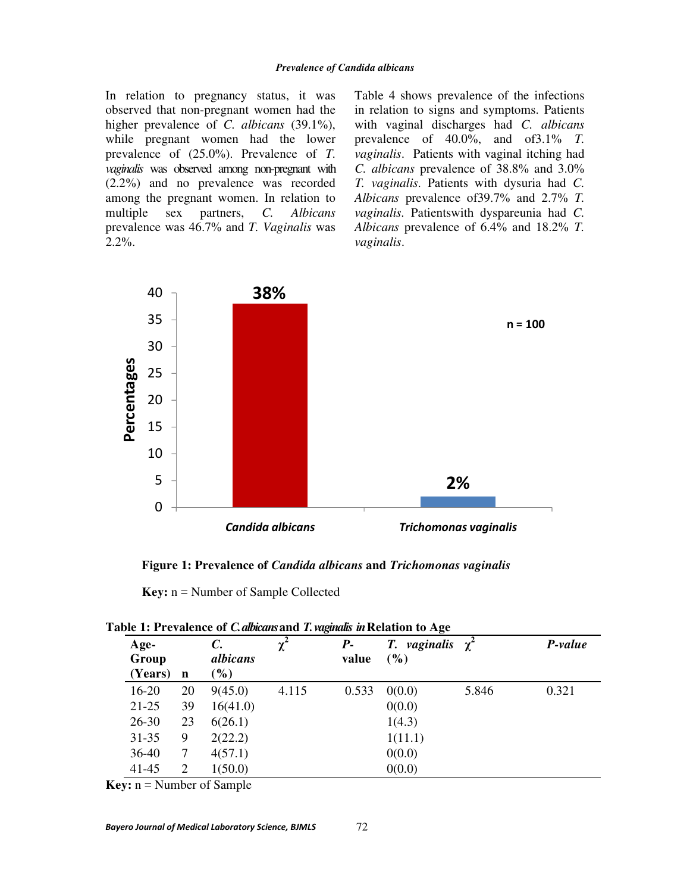In relation to pregnancy status, it was observed that non-pregnant women had the higher prevalence of *C. albicans* (39.1%), while pregnant women had the lower prevalence of (25.0%). Prevalence of *T*. *vaginalis* was observed among non-pregnant with (2.2%) and no prevalence was recorded among the pregnant women. In relation to multiple sex partners, *C. Albicans*  prevalence was 46.7% and *T. Vaginalis* was 2.2%.

Table 4 shows prevalence of the infections in relation to signs and symptoms. Patients with vaginal discharges had *C. albicans* prevalence of 40.0%, and of3.1% *T. vaginalis*. Patients with vaginal itching had *C. albicans* prevalence of 38.8% and 3.0% *T. vaginalis*. Patients with dysuria had *C. Albicans* prevalence of39.7% and 2.7% *T. vaginalis.* Patientswith dyspareunia had *C. Albicans* prevalence of 6.4% and 18.2% *T. vaginalis*.



**Figure 1: Prevalence of** *Candida albicans* **and** *Trichomonas vaginalis*

**Key:** n = Number of Sample Collected

| Age-<br>Group<br>(Years) | $\mathbf n$ | $\mathcal{C}$ .<br>albicans<br>$(\%)$ | $\chi^2$ | $P-$<br>value | <i>T. vaginalis</i> $\gamma^2$<br>$\left( \frac{9}{6} \right)$ |       | P-value |
|--------------------------|-------------|---------------------------------------|----------|---------------|----------------------------------------------------------------|-------|---------|
| $16-20$                  | 20          | 9(45.0)                               | 4.115    | 0.533         | 0(0.0)                                                         | 5.846 | 0.321   |
| $21 - 25$                | 39          | 16(41.0)                              |          |               | 0(0.0)                                                         |       |         |
| $26 - 30$                | 23          | 6(26.1)                               |          |               | 1(4.3)                                                         |       |         |
| $31 - 35$                | 9           | 2(22.2)                               |          |               | 1(11.1)                                                        |       |         |
| $36-40$                  | 7           | 4(57.1)                               |          |               | 0(0.0)                                                         |       |         |
| $41 - 45$                | 2           | 1(50.0)                               |          |               | 0(0.0)                                                         |       |         |

**Table 1: Prevalence of** *C. albicans* **and** *T. vaginalis in* **Relation to Age** 

**Key:** n = Number of Sample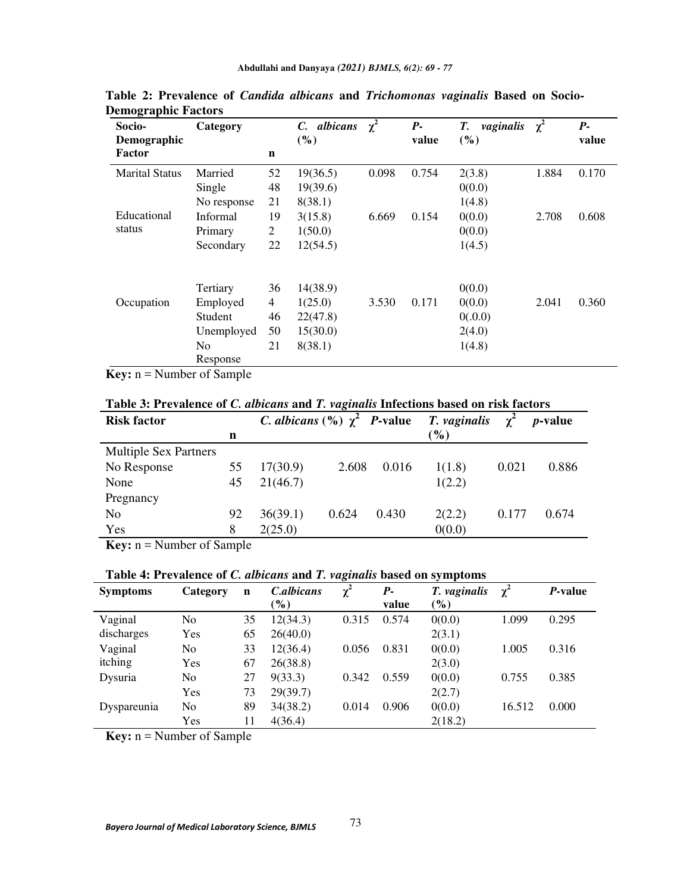| Socio-<br>Demographic | Category       |                | C. albicans<br>(%) | $\chi^2$ | $P-$<br>value | vaginalis<br>Т.<br>( %) | $\chi^2$ | $P-$<br>value |
|-----------------------|----------------|----------------|--------------------|----------|---------------|-------------------------|----------|---------------|
| Factor                |                | $\mathbf n$    |                    |          |               |                         |          |               |
| <b>Marital Status</b> | Married        | 52             | 19(36.5)           | 0.098    | 0.754         | 2(3.8)                  | 1.884    | 0.170         |
|                       | Single         | 48             | 19(39.6)           |          |               | 0(0.0)                  |          |               |
|                       | No response    | 21             | 8(38.1)            |          |               | 1(4.8)                  |          |               |
| Educational           | Informal       | 19             | 3(15.8)            | 6.669    | 0.154         | 0(0.0)                  | 2.708    | 0.608         |
| status                | Primary        | $\overline{c}$ | 1(50.0)            |          |               | 0(0.0)                  |          |               |
|                       | Secondary      | 22             | 12(54.5)           |          |               | 1(4.5)                  |          |               |
|                       | Tertiary       | 36             | 14(38.9)           |          |               | 0(0.0)                  |          |               |
| Occupation            | Employed       | 4              | 1(25.0)            | 3.530    | 0.171         | 0(0.0)                  | 2.041    | 0.360         |
|                       | Student        | 46             | 22(47.8)           |          |               | 0(.0.0)                 |          |               |
|                       | Unemployed     | 50             | 15(30.0)           |          |               | 2(4.0)                  |          |               |
|                       | N <sub>0</sub> | 21             | 8(38.1)            |          |               | 1(4.8)                  |          |               |
|                       | Response       |                |                    |          |               |                         |          |               |

**Table 2: Prevalence of** *Candida albicans* **and** *Trichomonas vaginalis* **Based on Socio-Demographic Factors** 

**Key:** n = Number of Sample

**Table 3: Prevalence of** *C. albicans* **and** *T. vaginalis* **Infections based on risk factors** 

| <b>Risk factor</b> |               | <i>C. albicans</i> $(\%) \ \gamma^2$ <i>P</i> -value |       |                 | $\gamma^2$ | <i>p</i> -value |
|--------------------|---------------|------------------------------------------------------|-------|-----------------|------------|-----------------|
| n                  |               |                                                      |       | $\mathcal{O}_0$ |            |                 |
|                    |               |                                                      |       |                 |            |                 |
| 55                 | 17(30.9)      | 2.608                                                | 0.016 | 1(1.8)          | 0.021      | 0.886           |
| 45                 | 21(46.7)      |                                                      |       | 1(2.2)          |            |                 |
|                    |               |                                                      |       |                 |            |                 |
| 92                 | 36(39.1)      | 0.624                                                | 0.430 | 2(2.2)          | 0.177      | 0.674           |
| 8                  | 2(25.0)       |                                                      |       | 0(0.0)          |            |                 |
|                    | $\sim$ $\sim$ |                                                      |       |                 |            | T. vaginalis    |

**Key:** n = Number of Sample

**Table 4: Prevalence of** *C. albicans* **and** *T. vaginalis* **based on symptoms** 

| <b>Symptoms</b> | Category       | $\mathbf n$ | <i>C.albicans</i> | $\chi^2$ | $P-$  | T. vaginalis | $\gamma^2$ | P-value |
|-----------------|----------------|-------------|-------------------|----------|-------|--------------|------------|---------|
|                 |                |             | $\mathcal{O}_0$   |          | value | $(\%)$       |            |         |
| Vaginal         | No             | 35          | 12(34.3)          | 0.315    | 0.574 | 0(0.0)       | 1.099      | 0.295   |
| discharges      | Yes            | 65          | 26(40.0)          |          |       | 2(3.1)       |            |         |
| Vaginal         | N <sub>0</sub> | 33          | 12(36.4)          | 0.056    | 0.831 | 0(0.0)       | 1.005      | 0.316   |
| itching         | Yes            | 67          | 26(38.8)          |          |       | 2(3.0)       |            |         |
| Dysuria         | N <sub>0</sub> | 27          | 9(33.3)           | 0.342    | 0.559 | 0(0.0)       | 0.755      | 0.385   |
|                 | Yes            | 73          | 29(39.7)          |          |       | 2(2.7)       |            |         |
| Dyspareunia     | No             | 89          | 34(38.2)          | 0.014    | 0.906 | 0(0.0)       | 16.512     | 0.000   |
|                 | Yes            | 11          | 4(36.4)           |          |       | 2(18.2)      |            |         |

**Key:** n = Number of Sample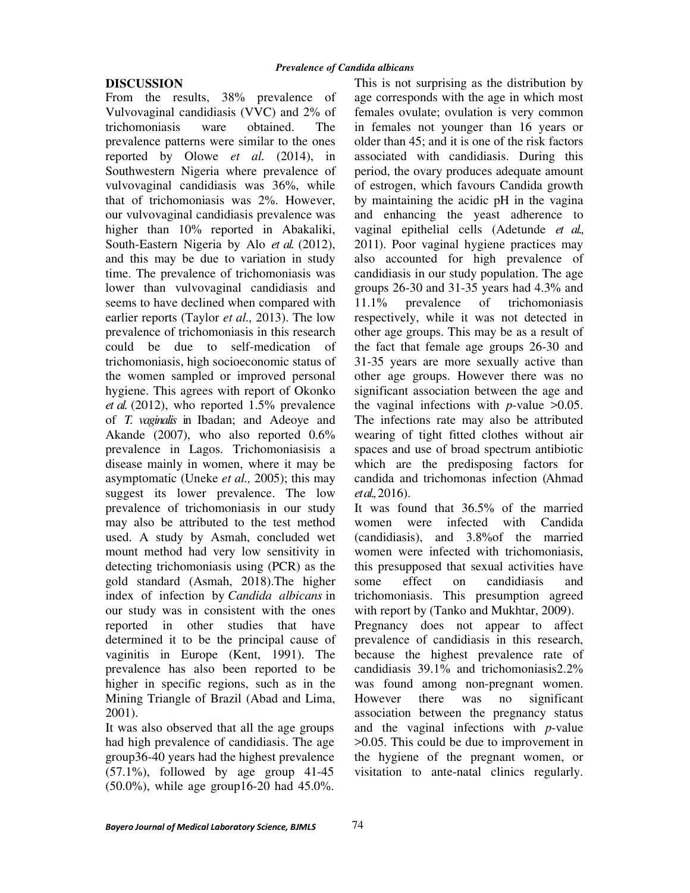### **DISCUSSION**

From the results, 38% prevalence of Vulvovaginal candidiasis (VVC) and 2% of trichomoniasis ware obtained. The prevalence patterns were similar to the ones reported by Olowe *et al.* (2014), in Southwestern Nigeria where prevalence of vulvovaginal candidiasis was 36%, while that of trichomoniasis was 2%. However, our vulvovaginal candidiasis prevalence was higher than 10% reported in Abakaliki, South-Eastern Nigeria by Alo *et al.* (2012), and this may be due to variation in study time. The prevalence of trichomoniasis was lower than vulvovaginal candidiasis and seems to have declined when compared with earlier reports (Taylor *et al.,* 2013). The low prevalence of trichomoniasis in this research could be due to self-medication of trichomoniasis, high socioeconomic status of the women sampled or improved personal hygiene. This agrees with report of Okonko *et al.* (2012), who reported 1.5% prevalence of *T. vaginalis* in Ibadan; and Adeoye and Akande (2007), who also reported 0.6% prevalence in Lagos. Trichomoniasisis a disease mainly in women, where it may be asymptomatic (Uneke *et al.,* 2005); this may suggest its lower prevalence. The low prevalence of trichomoniasis in our study may also be attributed to the test method used. A study by Asmah, concluded wet mount method had very low sensitivity in detecting trichomoniasis using (PCR) as the gold standard (Asmah, 2018).The higher index of infection by *Candida albicans* in our study was in consistent with the ones reported in other studies that have determined it to be the principal cause of vaginitis in Europe (Kent, 1991). The prevalence has also been reported to be higher in specific regions, such as in the Mining Triangle of Brazil (Abad and Lima, 2001).

It was also observed that all the age groups had high prevalence of candidiasis. The age group36-40 years had the highest prevalence (57.1%), followed by age group 41-45 (50.0%), while age group16-20 had 45.0%.

This is not surprising as the distribution by age corresponds with the age in which most females ovulate; ovulation is very common in females not younger than 16 years or older than 45; and it is one of the risk factors associated with candidiasis. During this period, the ovary produces adequate amount of estrogen, which favours Candida growth by maintaining the acidic pH in the vagina and enhancing the yeast adherence to vaginal epithelial cells (Adetunde *et al.,*  2011). Poor vaginal hygiene practices may also accounted for high prevalence of candidiasis in our study population. The age groups 26-30 and 31-35 years had 4.3% and 11.1% prevalence of trichomoniasis respectively, while it was not detected in other age groups. This may be as a result of the fact that female age groups 26-30 and 31-35 years are more sexually active than other age groups. However there was no significant association between the age and the vaginal infections with  $p$ -value  $>0.05$ . The infections rate may also be attributed wearing of tight fitted clothes without air spaces and use of broad spectrum antibiotic which are the predisposing factors for candida and trichomonas infection (Ahmad *et al.,* 2016).

It was found that 36.5% of the married women were infected with Candida (candidiasis), and 3.8%of the married women were infected with trichomoniasis, this presupposed that sexual activities have some effect on candidiasis and trichomoniasis. This presumption agreed with report by (Tanko and Mukhtar, 2009). Pregnancy does not appear to affect prevalence of candidiasis in this research,

because the highest prevalence rate of candidiasis 39.1% and trichomoniasis2.2% was found among non-pregnant women. However there was no significant association between the pregnancy status and the vaginal infections with *p*-value >0.05. This could be due to improvement in the hygiene of the pregnant women, or visitation to ante-natal clinics regularly.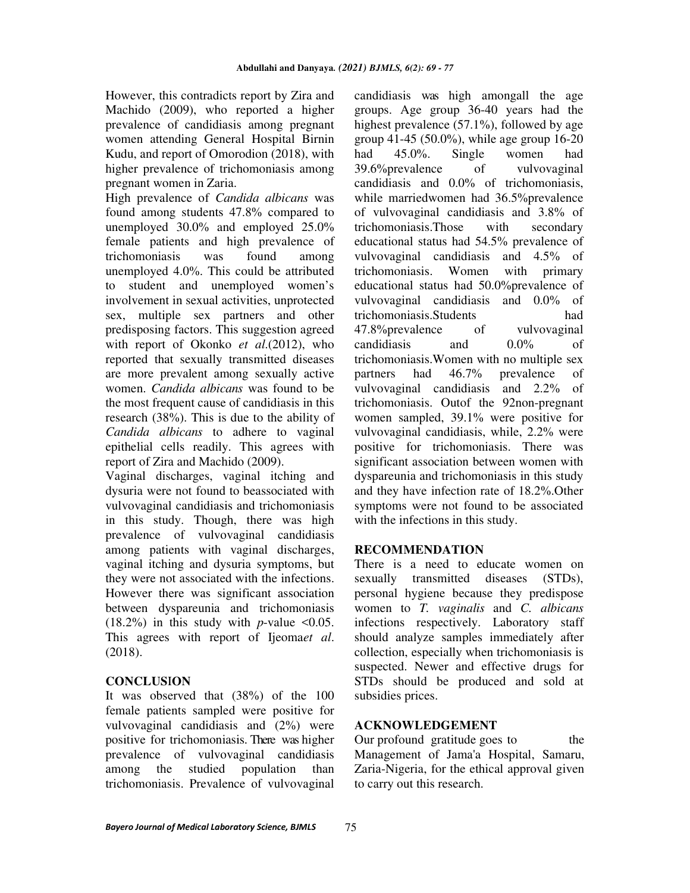However, this contradicts report by Zira and Machido (2009), who reported a higher prevalence of candidiasis among pregnant women attending General Hospital Birnin Kudu, and report of Omorodion (2018), with higher prevalence of trichomoniasis among pregnant women in Zaria.

High prevalence of *Candida albicans* was found among students 47.8% compared to unemployed 30.0% and employed 25.0% female patients and high prevalence of trichomoniasis was found among unemployed 4.0%. This could be attributed to student and unemployed women's involvement in sexual activities, unprotected sex, multiple sex partners and other predisposing factors. This suggestion agreed with report of Okonko *et al*.(2012), who reported that sexually transmitted diseases are more prevalent among sexually active women. *Candida albicans* was found to be the most frequent cause of candidiasis in this research (38%). This is due to the ability of *Candida albicans* to adhere to vaginal epithelial cells readily. This agrees with report of Zira and Machido (2009).

Vaginal discharges, vaginal itching and dysuria were not found to beassociated with vulvovaginal candidiasis and trichomoniasis in this study. Though, there was high prevalence of vulvovaginal candidiasis among patients with vaginal discharges, vaginal itching and dysuria symptoms, but they were not associated with the infections. However there was significant association between dyspareunia and trichomoniasis  $(18.2\%)$  in this study with *p*-value <0.05. This agrees with report of Ijeoma*et al*. (2018).

## **CONCLUS**I**ON**

It was observed that (38%) of the 100 female patients sampled were positive for vulvovaginal candidiasis and (2%) were positive for trichomoniasis*.* There was higher prevalence of vulvovaginal candidiasis among the studied population than trichomoniasis. Prevalence of vulvovaginal

candidiasis was high amongall the age groups. Age group 36-40 years had the highest prevalence (57.1%), followed by age group 41-45 (50.0%), while age group  $16-20$ had 45.0%. Single women had 39.6%prevalence of vulvovaginal candidiasis and 0.0% of trichomoniasis, while marriedwomen had 36.5%prevalence of vulvovaginal candidiasis and 3.8% of trichomoniasis.Those with secondary educational status had 54.5% prevalence of vulvovaginal candidiasis and 4.5% of trichomoniasis. Women with primary educational status had 50.0%prevalence of vulvovaginal candidiasis and 0.0% of trichomoniasis.Students had 47.8%prevalence of vulvovaginal candidiasis and 0.0% of trichomoniasis.Women with no multiple sex partners had 46.7% prevalence of vulvovaginal candidiasis and 2.2% of trichomoniasis. Outof the 92non-pregnant women sampled, 39.1% were positive for vulvovaginal candidiasis, while, 2.2% were positive for trichomoniasis. There was significant association between women with dyspareunia and trichomoniasis in this study and they have infection rate of 18.2%.Other symptoms were not found to be associated with the infections in this study.

## **RECOMMENDATION**

There is a need to educate women on sexually transmitted diseases (STDs), personal hygiene because they predispose women to *T. vaginalis* and *C. albicans*  infections respectively. Laboratory staff should analyze samples immediately after collection, especially when trichomoniasis is suspected. Newer and effective drugs for STDs should be produced and sold at subsidies prices.

## **ACKNOWLEDGEMENT**

Our profound gratitude goes to the Management of Jama'a Hospital, Samaru, Zaria-Nigeria, for the ethical approval given to carry out this research.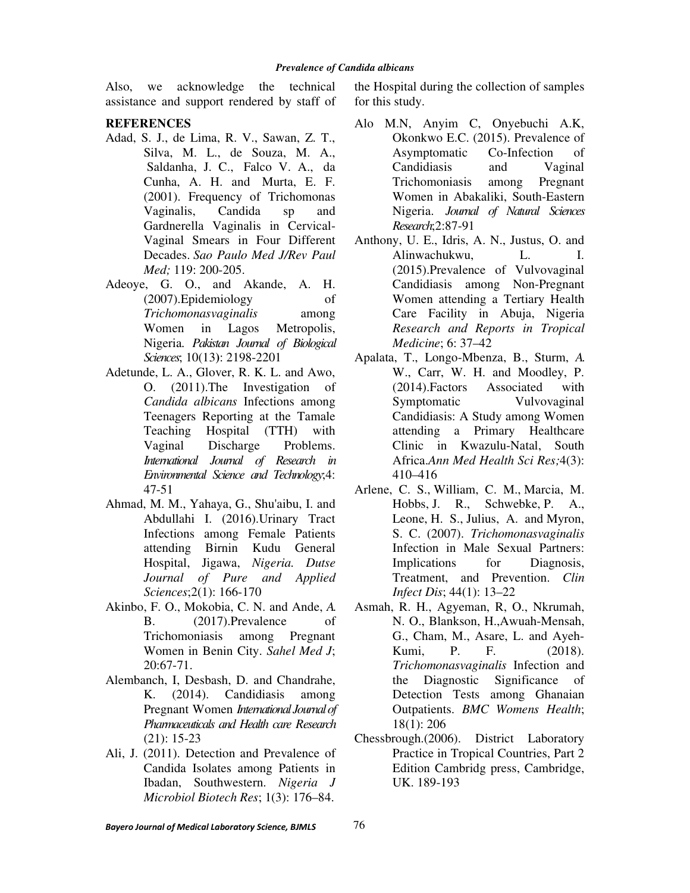Also, we acknowledge the technical assistance and support rendered by staff of

#### **REFERENCES**

- Adad, S. J., de Lima, R. V., Sawan, Z. T., Silva, M. L., de Souza, M. A., Saldanha, J. C., Falco V. A., da Cunha, A. H. and Murta, E. F. (2001). Frequency of Trichomonas Vaginalis, Candida sp and Gardnerella Vaginalis in Cervical-Vaginal Smears in Four Different Decades. *Sao Paulo Med J/Rev Paul Med;* 119: 200-205.
- Adeoye, G. O., and Akande, A. H. (2007).Epidemiology of *Trichomonasvaginalis* among Women in Lagos Metropolis, Nigeria*. Pakistan Journal of Biological Sciences*; 10(13**)**: 2198-2201
- Adetunde, L. A., Glover, R. K. L. and Awo, O. (2011).The Investigation of *Candida albicans* Infections among Teenagers Reporting at the Tamale Teaching Hospital (TTH) with Vaginal Discharge Problems. *International Journal of Research in Environmental Science and Technology*;4: 47-51
- Ahmad, M. M., Yahaya, G., Shu'aibu, I. and Abdullahi I. (2016).Urinary Tract Infections among Female Patients attending Birnin Kudu General Hospital, Jigawa, *Nigeria. Dutse Journal of Pure and Applied Sciences*;2(1): 166-170
- Akinbo, F. O., Mokobia, C. N. and Ande, *A.*  B. (2017).Prevalence of Trichomoniasis among Pregnant Women in Benin City. *Sahel Med J*; 20:67-71.
- Alembanch, I, Desbash, D. and Chandrahe, K. (2014). Candidiasis among Pregnant Women *International Journal of Pharmaceuticals and Health care Research* (21): 15-23
- Ali, J. (2011). Detection and Prevalence of Candida Isolates among Patients in Ibadan, Southwestern. *Nigeria J Microbiol Biotech Res*; 1(3): 176–84.

the Hospital during the collection of samples for this study.

- Alo M.N, Anyim C, Onyebuchi A.K, Okonkwo E.C. (2015). Prevalence of Asymptomatic Co-Infection of Candidiasis and Vaginal Trichomoniasis among Pregnant Women in Abakaliki, South-Eastern Nigeria. *Journal of Natural Sciences Research*;2:87-91
- Anthony, U. E., Idris, A. N., Justus, O. and Alinwachukwu, L. I. (2015).Prevalence of Vulvovaginal Candidiasis among Non-Pregnant Women attending a Tertiary Health Care Facility in Abuja, Nigeria *Research and Reports in Tropical Medicine*; 6: 37–42
- Apalata, T., Longo-Mbenza, B., Sturm, *A.*  W., Carr, W. H. and Moodley, P. (2014).Factors Associated with Symptomatic Vulvovaginal Candidiasis: A Study among Women attending a Primary Healthcare Clinic in Kwazulu-Natal, South Africa.*Ann Med Health Sci Res;*4(3): 410–416
- Arlene, C. S., William, C. M., Marcia, M. Hobbs, J. R., Schwebke, P. A., Leone, H. S., Julius, A. and Myron, S. C. (2007). *Trichomonasvaginalis* Infection in Male Sexual Partners: Implications for Diagnosis, Treatment, and Prevention. *Clin Infect Dis*; 44(1): 13–22
- Asmah, R. H., Agyeman, R, O., Nkrumah, N. O., Blankson, H.,Awuah-Mensah, G., Cham, M., Asare, L. and Ayeh-Kumi, P. F. (2018). *Trichomonasvaginalis* Infection and the Diagnostic Significance of Detection Tests among Ghanaian Outpatients. *BMC Womens Health*; 18(1): 206
- Chessbrough.(2006). District Laboratory Practice in Tropical Countries, Part 2 Edition Cambridg press, Cambridge, UK. 189-193